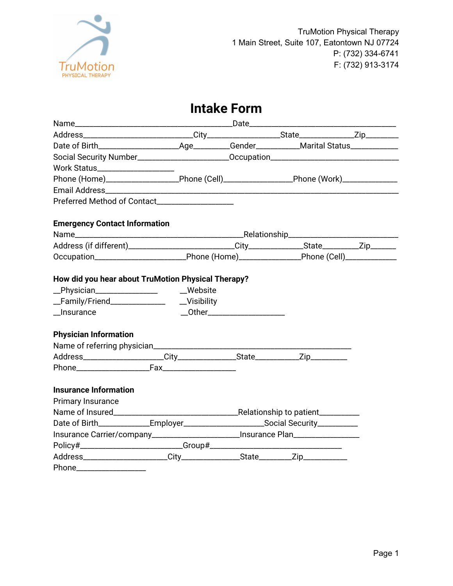

# **Intake Form**

| Social Security Number__________________________Occupation_______________________                                                                                                                         |                               |  |
|-----------------------------------------------------------------------------------------------------------------------------------------------------------------------------------------------------------|-------------------------------|--|
|                                                                                                                                                                                                           |                               |  |
| Phone (Home)_______________________Phone (Cell)_______________________Phone (Work)_________________                                                                                                       |                               |  |
|                                                                                                                                                                                                           |                               |  |
|                                                                                                                                                                                                           |                               |  |
| <b>Emergency Contact Information</b>                                                                                                                                                                      |                               |  |
|                                                                                                                                                                                                           |                               |  |
|                                                                                                                                                                                                           |                               |  |
| Occupation_______________________________Phone (Home)____________________Phone (Cell)______________                                                                                                       |                               |  |
| How did you hear about TruMotion Physical Therapy?<br>_Physician__________________ __Website<br>_Family/Friend________________________Visibility<br>$_{_{_{}}}$ Insurance<br><b>Physician Information</b> | __Other______________________ |  |
| Phone Fax<br><b>Insurance Information</b><br>Primary Insurance                                                                                                                                            |                               |  |
|                                                                                                                                                                                                           |                               |  |
| Date of Birth_______________Employer__________________________Social Security___________                                                                                                                  |                               |  |
| Insurance Carrier/company________________________Insurance Plan_________________                                                                                                                          |                               |  |
|                                                                                                                                                                                                           |                               |  |
|                                                                                                                                                                                                           |                               |  |
| Phone_____________________                                                                                                                                                                                |                               |  |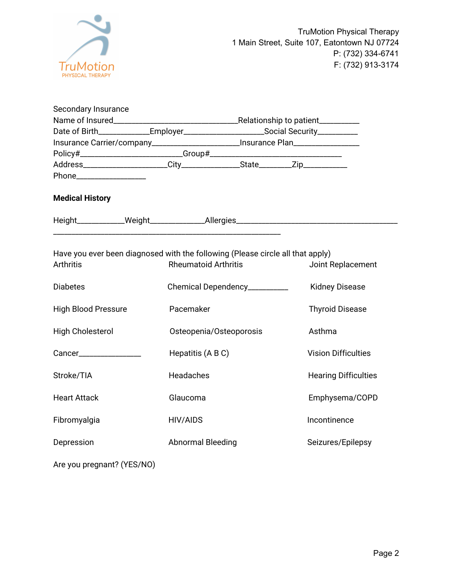

| Secondary Insurance                                                                                |                                                                                        |                               |                         |                                                                                  |  |
|----------------------------------------------------------------------------------------------------|----------------------------------------------------------------------------------------|-------------------------------|-------------------------|----------------------------------------------------------------------------------|--|
|                                                                                                    | Date of Birth______________Employer_________________________Social Security___________ |                               |                         |                                                                                  |  |
|                                                                                                    | Insurance Carrier/company_________________________Insurance Plan________________       |                               |                         |                                                                                  |  |
|                                                                                                    |                                                                                        |                               |                         |                                                                                  |  |
|                                                                                                    |                                                                                        |                               |                         |                                                                                  |  |
| Phone____________________                                                                          |                                                                                        |                               |                         |                                                                                  |  |
| <b>Medical History</b>                                                                             |                                                                                        |                               |                         |                                                                                  |  |
|                                                                                                    |                                                                                        |                               |                         | Height____________Weight________________Allergies_______________________________ |  |
| Have you ever been diagnosed with the following (Please circle all that apply)<br><b>Arthritis</b> |                                                                                        | <b>Rheumatoid Arthritis</b>   |                         | Joint Replacement                                                                |  |
| <b>Diabetes</b>                                                                                    |                                                                                        | Chemical Dependency__________ |                         | <b>Kidney Disease</b>                                                            |  |
| <b>High Blood Pressure</b>                                                                         |                                                                                        | Pacemaker                     |                         | <b>Thyroid Disease</b>                                                           |  |
| High Cholesterol                                                                                   |                                                                                        |                               | Osteopenia/Osteoporosis | Asthma                                                                           |  |
| Cancer_________________                                                                            |                                                                                        | Hepatitis (A B C)             |                         | <b>Vision Difficulties</b>                                                       |  |
| Stroke/TIA                                                                                         |                                                                                        | Headaches                     |                         | <b>Hearing Difficulties</b>                                                      |  |
| <b>Heart Attack</b>                                                                                |                                                                                        | Glaucoma                      |                         | Emphysema/COPD                                                                   |  |
| Fibromyalgia                                                                                       |                                                                                        | HIV/AIDS                      |                         | Incontinence                                                                     |  |
| Depression                                                                                         |                                                                                        | <b>Abnormal Bleeding</b>      |                         | Seizures/Epilepsy                                                                |  |
| Are you pregnant? (YES/NO)                                                                         |                                                                                        |                               |                         |                                                                                  |  |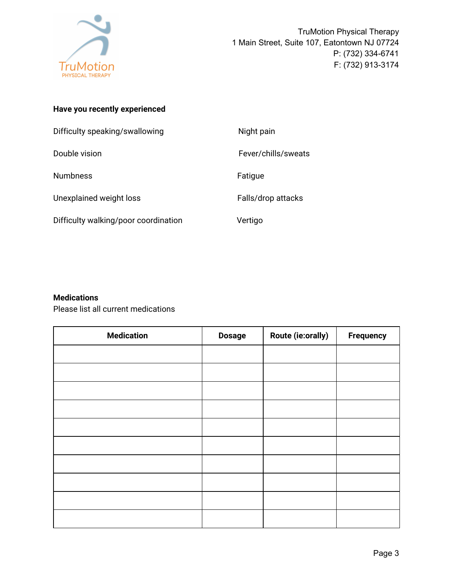

## **Have you recently experienced**

| Difficulty speaking/swallowing       | Night pain          |
|--------------------------------------|---------------------|
| Double vision                        | Fever/chills/sweats |
| <b>Numbness</b>                      | Fatigue             |
| Unexplained weight loss              | Falls/drop attacks  |
| Difficulty walking/poor coordination | Vertigo             |

## **Medications**

Please list all current medications

| <b>Medication</b> | <b>Dosage</b> | Route (ie:orally) | <b>Frequency</b> |
|-------------------|---------------|-------------------|------------------|
|                   |               |                   |                  |
|                   |               |                   |                  |
|                   |               |                   |                  |
|                   |               |                   |                  |
|                   |               |                   |                  |
|                   |               |                   |                  |
|                   |               |                   |                  |
|                   |               |                   |                  |
|                   |               |                   |                  |
|                   |               |                   |                  |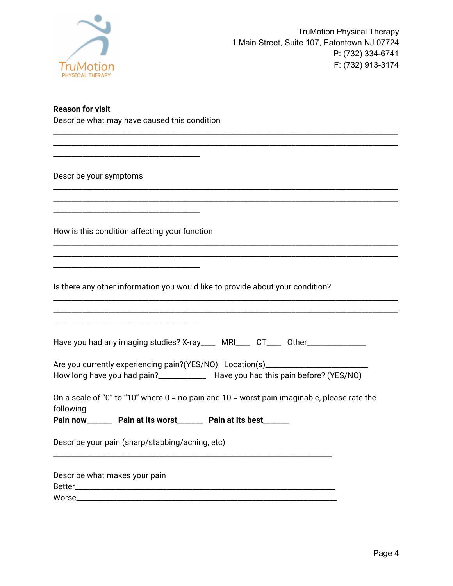

#### **Reason for visit**

Describe what may have caused this condition

\_\_\_\_\_\_\_\_\_\_\_\_\_\_\_\_\_\_\_\_\_\_\_\_\_\_\_\_\_\_\_\_\_\_\_\_\_\_\_\_

Describe your symptoms

How is this condition affecting your function

\_\_\_\_\_\_\_\_\_\_\_\_\_\_\_\_\_\_\_\_\_\_\_\_\_\_\_\_\_\_\_\_\_\_\_\_\_\_\_\_

\_\_\_\_\_\_\_\_\_\_\_\_\_\_\_\_\_\_\_\_\_\_\_\_\_\_\_\_\_\_\_\_\_\_\_\_\_\_\_\_

\_\_\_\_\_\_\_\_\_\_\_\_\_\_\_\_\_\_\_\_\_\_\_\_\_\_\_\_\_\_\_\_\_\_\_\_\_\_\_\_

Is there any other information you would like to provide about your condition?

|  | Have you had any imaging studies? X-ray____ MRI____ CT____ Other__ |  |  |  |
|--|--------------------------------------------------------------------|--|--|--|
|--|--------------------------------------------------------------------|--|--|--|

\_\_\_\_\_\_\_\_\_\_\_\_\_\_\_\_\_\_\_\_\_\_\_\_\_\_\_\_\_\_\_\_\_\_\_\_\_\_\_\_\_\_\_\_\_\_\_\_\_\_\_\_\_\_\_\_\_\_\_\_\_\_\_\_\_\_\_\_\_\_\_\_\_\_\_\_\_\_\_\_\_\_\_\_\_\_\_\_\_\_\_\_\_\_ \_\_\_\_\_\_\_\_\_\_\_\_\_\_\_\_\_\_\_\_\_\_\_\_\_\_\_\_\_\_\_\_\_\_\_\_\_\_\_\_\_\_\_\_\_\_\_\_\_\_\_\_\_\_\_\_\_\_\_\_\_\_\_\_\_\_\_\_\_\_\_\_\_\_\_\_\_\_\_\_\_\_\_\_\_\_\_\_\_\_\_\_\_\_

\_\_\_\_\_\_\_\_\_\_\_\_\_\_\_\_\_\_\_\_\_\_\_\_\_\_\_\_\_\_\_\_\_\_\_\_\_\_\_\_\_\_\_\_\_\_\_\_\_\_\_\_\_\_\_\_\_\_\_\_\_\_\_\_\_\_\_\_\_\_\_\_\_\_\_\_\_\_\_\_\_\_\_\_\_\_\_\_\_\_\_\_\_\_ \_\_\_\_\_\_\_\_\_\_\_\_\_\_\_\_\_\_\_\_\_\_\_\_\_\_\_\_\_\_\_\_\_\_\_\_\_\_\_\_\_\_\_\_\_\_\_\_\_\_\_\_\_\_\_\_\_\_\_\_\_\_\_\_\_\_\_\_\_\_\_\_\_\_\_\_\_\_\_\_\_\_\_\_\_\_\_\_\_\_\_\_\_\_

\_\_\_\_\_\_\_\_\_\_\_\_\_\_\_\_\_\_\_\_\_\_\_\_\_\_\_\_\_\_\_\_\_\_\_\_\_\_\_\_\_\_\_\_\_\_\_\_\_\_\_\_\_\_\_\_\_\_\_\_\_\_\_\_\_\_\_\_\_\_\_\_\_\_\_\_\_\_\_\_\_\_\_\_\_\_\_\_\_\_\_\_\_\_ \_\_\_\_\_\_\_\_\_\_\_\_\_\_\_\_\_\_\_\_\_\_\_\_\_\_\_\_\_\_\_\_\_\_\_\_\_\_\_\_\_\_\_\_\_\_\_\_\_\_\_\_\_\_\_\_\_\_\_\_\_\_\_\_\_\_\_\_\_\_\_\_\_\_\_\_\_\_\_\_\_\_\_\_\_\_\_\_\_\_\_\_\_\_

\_\_\_\_\_\_\_\_\_\_\_\_\_\_\_\_\_\_\_\_\_\_\_\_\_\_\_\_\_\_\_\_\_\_\_\_\_\_\_\_\_\_\_\_\_\_\_\_\_\_\_\_\_\_\_\_\_\_\_\_\_\_\_\_\_\_\_\_\_\_\_\_\_\_\_\_\_\_\_\_\_\_\_\_\_\_\_\_\_\_\_\_\_\_ \_\_\_\_\_\_\_\_\_\_\_\_\_\_\_\_\_\_\_\_\_\_\_\_\_\_\_\_\_\_\_\_\_\_\_\_\_\_\_\_\_\_\_\_\_\_\_\_\_\_\_\_\_\_\_\_\_\_\_\_\_\_\_\_\_\_\_\_\_\_\_\_\_\_\_\_\_\_\_\_\_\_\_\_\_\_\_\_\_\_\_\_\_\_

| Are you currently experiencing pain?(YES/NO) Location(s) |                                         |
|----------------------------------------------------------|-----------------------------------------|
| How long have you had pain?                              | Have you had this pain before? (YES/NO) |

On a scale of "0" to "10" where  $0 =$  no pain and  $10 =$  worst pain imaginable, please rate the following

**Pain now\_\_\_\_\_\_\_ Pain at its worst\_\_\_\_\_\_\_ Pain at its best\_\_\_\_\_\_\_**

\_\_\_\_\_\_\_\_\_\_\_\_\_\_\_\_\_\_\_\_\_\_\_\_\_\_\_\_\_\_\_\_\_\_\_\_\_\_\_\_\_\_\_\_\_\_\_\_\_\_\_\_\_\_\_\_\_\_\_\_\_\_\_\_\_\_\_\_\_\_\_\_\_\_\_\_

Describe your pain (sharp/stabbing/aching, etc)

Describe what makes your pain Better\_\_\_\_\_\_\_\_\_\_\_\_\_\_\_\_\_\_\_\_\_\_\_\_\_\_\_\_\_\_\_\_\_\_\_\_\_\_\_\_\_\_\_\_\_\_\_\_\_\_\_\_\_\_\_\_\_\_\_\_\_\_\_\_\_\_\_\_\_\_\_ Worse **with a set of the set of the set of the set of the set of the set of the set of the set of the set of the set of the set of the set of the set of the set of the set of the set of the set of the set of the set of the**